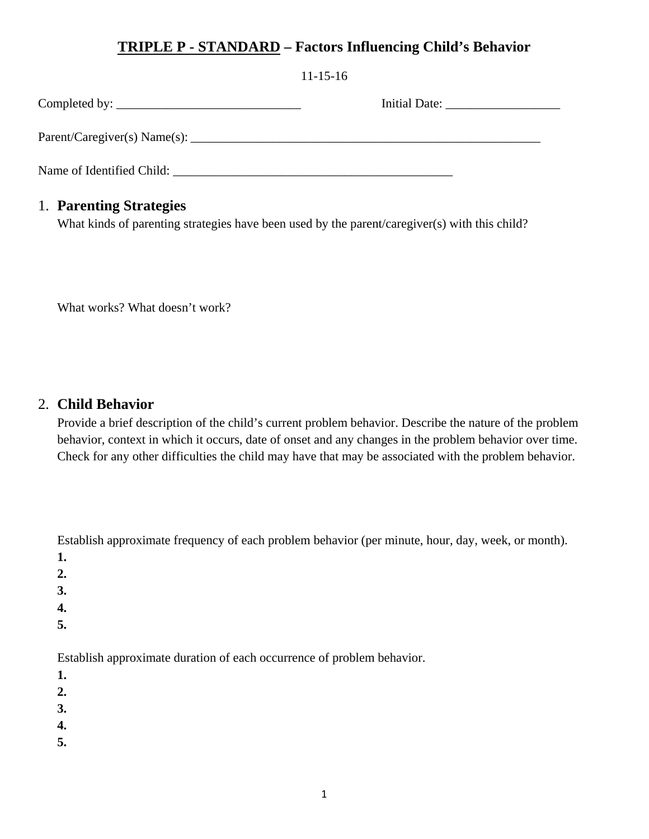# **TRIPLE P - STANDARD – Factors Influencing Child's Behavior**

|                                                     | $11 - 15 - 16$ |  |
|-----------------------------------------------------|----------------|--|
|                                                     |                |  |
|                                                     |                |  |
| Name of Identified Child: Name of Identified Child: |                |  |

# 1. **Parenting Strategies**

What kinds of parenting strategies have been used by the parent/caregiver(s) with this child?

What works? What doesn't work?

# 2. **Child Behavior**

Provide a brief description of the child's current problem behavior. Describe the nature of the problem behavior, context in which it occurs, date of onset and any changes in the problem behavior over time. Check for any other difficulties the child may have that may be associated with the problem behavior.

Establish approximate frequency of each problem behavior (per minute, hour, day, week, or month).

- **1.**
- **2.**
- **3.**
- **4.**
- **5.**
- 

Establish approximate duration of each occurrence of problem behavior.

- **1.**
- **2.**
- **3.**
- **4.**
- **5.**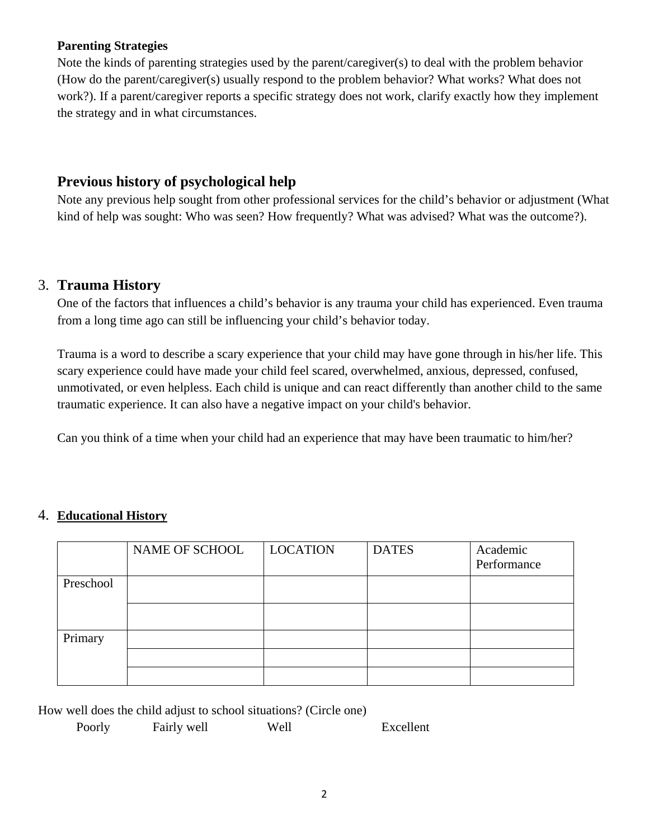#### **Parenting Strategies**

Note the kinds of parenting strategies used by the parent/caregiver(s) to deal with the problem behavior (How do the parent/caregiver(s) usually respond to the problem behavior? What works? What does not work?). If a parent/caregiver reports a specific strategy does not work, clarify exactly how they implement the strategy and in what circumstances.

# **Previous history of psychological help**

Note any previous help sought from other professional services for the child's behavior or adjustment (What kind of help was sought: Who was seen? How frequently? What was advised? What was the outcome?).

## 3. **Trauma History**

One of the factors that influences a child's behavior is any trauma your child has experienced. Even trauma from a long time ago can still be influencing your child's behavior today.

Trauma is a word to describe a scary experience that your child may have gone through in his/her life. This scary experience could have made your child feel scared, overwhelmed, anxious, depressed, confused, unmotivated, or even helpless. Each child is unique and can react differently than another child to the same traumatic experience. It can also have a negative impact on your child's behavior.

Can you think of a time when your child had an experience that may have been traumatic to him/her?

|           | NAME OF SCHOOL | <b>LOCATION</b> | <b>DATES</b> | Academic<br>Performance |
|-----------|----------------|-----------------|--------------|-------------------------|
| Preschool |                |                 |              |                         |
|           |                |                 |              |                         |
| Primary   |                |                 |              |                         |
|           |                |                 |              |                         |
|           |                |                 |              |                         |

## 4. **Educational History**

How well does the child adjust to school situations? (Circle one)

| Poorly | Fairly well | Well | Excellent |
|--------|-------------|------|-----------|
|        |             |      |           |